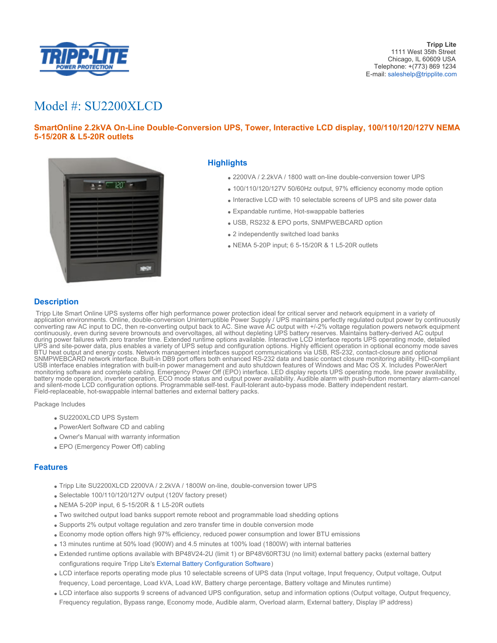

# Model #: SU2200XLCD

# **SmartOnline 2.2kVA On-Line Double-Conversion UPS, Tower, Interactive LCD display, 100/110/120/127V NEMA 5-15/20R & L5-20R outlets**



## **Highlights**

- 2200VA / 2.2kVA / 1800 watt on-line double-conversion tower UPS
- 100/110/120/127V 50/60Hz output, 97% efficiency economy mode option
- Interactive LCD with 10 selectable screens of UPS and site power data
- Expandable runtime, Hot-swappable batteries
- USB, RS232 & EPO ports, SNMPWEBCARD option
- 2 independently switched load banks
- NEMA 5-20P input; 6 5-15/20R & 1 L5-20R outlets

## **Description**

 Tripp Lite Smart Online UPS systems offer high performance power protection ideal for critical server and network equipment in a variety of application environments. Online, double-conversion Uninterruptible Power Supply / UPS maintains perfectly regulated output power by continuously converting raw AC input to DC, then re-converting output back to AC. Sine wave AC output with +/-2% voltage regulation powers network equipment continuously, even during severe brownouts and overvoltages, all without depleting UPS battery reserves. Maintains battery-derived AC output during power failures with zero transfer time. Extended runtime options available. Interactive LCD interface reports UPS operating mode, detailed UPS and site-power data, plus enables a variety of UPS setup and configuration options. Highly efficient operation in optional economy mode saves BTU heat output and energy costs. Network management interfaces support communications via USB, RS-232, contact-closure and optional SNMPWEBCARD network interface. Built-in DB9 port offers both enhanced RS-232 data and basic contact closure monitoring ability. HID-compliant USB interface enables integration with built-in power management and auto shutdown features of Windows and Mac OS X. Includes PowerAlert monitoring software and complete cabling. Emergency Power Off (EPO) interface. LED display reports UPS operating mode, line power availability, battery mode operation, inverter operation, ECO mode status and output power availability. Audible alarm with push-button momentary alarm-cancel and silent-mode LCD configuration options. Programmable self-test. Fault-tolerant auto-bypass mode. Battery independent restart. Field-replaceable, hot-swappable internal batteries and external battery packs.

Package Includes

- SU2200XLCD UPS System
- PowerAlert Software CD and cabling
- Owner's Manual with warranty information
- EPO (Emergency Power Off) cabling

#### **Features**

- Tripp Lite SU2200XLCD 2200VA / 2.2kVA / 1800W on-line, double-conversion tower UPS
- Selectable 100/110/120/127V output (120V factory preset)
- NEMA 5-20P input, 6 5-15/20R & 1 L5-20R outlets
- Two switched output load banks support remote reboot and programmable load shedding options
- Supports 2% output voltage regulation and zero transfer time in double conversion mode
- Economy mode option offers high 97% efficiency, reduced power consumption and lower BTU emissions
- 13 minutes runtime at 50% load (900W) and 4.5 minutes at 100% load (1800W) with internal batteries
- Extended runtime options available with BP48V24-2U (limit 1) or BP48V60RT3U (no limit) external battery packs (external battery configurations require Tripp Lite's [External Battery Configuration Software](http://www.tripplite.com/bpconfig))
- LCD interface reports operating mode plus 10 selectable screens of UPS data (Input voltage, Input frequency, Output voltage, Output frequency, Load percentage, Load kVA, Load kW, Battery charge percentage, Battery voltage and Minutes runtime)
- LCD interface also supports 9 screens of advanced UPS configuration, setup and information options (Output voltage, Output frequency, Frequency regulation, Bypass range, Economy mode, Audible alarm, Overload alarm, External battery, Display IP address)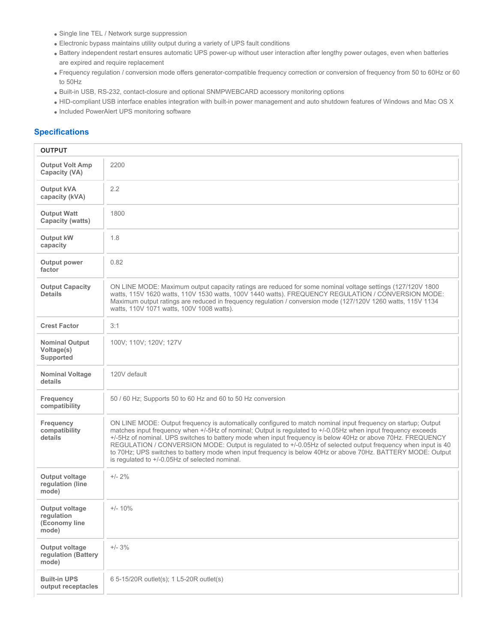- Single line TEL / Network surge suppression
- Electronic bypass maintains utility output during a variety of UPS fault conditions
- Battery independent restart ensures automatic UPS power-up without user interaction after lengthy power outages, even when batteries are expired and require replacement
- Frequency regulation / conversion mode offers generator-compatible frequency correction or conversion of frequency from 50 to 60Hz or 60 to 50Hz
- Built-in USB, RS-232, contact-closure and optional SNMPWEBCARD accessory monitoring options
- HID-compliant USB interface enables integration with built-in power management and auto shutdown features of Windows and Mac OS X • Included PowerAlert UPS monitoring software

## **Specifications**

| <b>OUTPUT</b>                                                 |                                                                                                                                                                                                                                                                                                                                                                                                                                                                                                                                                                                                                                  |
|---------------------------------------------------------------|----------------------------------------------------------------------------------------------------------------------------------------------------------------------------------------------------------------------------------------------------------------------------------------------------------------------------------------------------------------------------------------------------------------------------------------------------------------------------------------------------------------------------------------------------------------------------------------------------------------------------------|
| <b>Output Volt Amp</b><br>Capacity (VA)                       | 2200                                                                                                                                                                                                                                                                                                                                                                                                                                                                                                                                                                                                                             |
| <b>Output kVA</b><br>capacity (kVA)                           | 2.2                                                                                                                                                                                                                                                                                                                                                                                                                                                                                                                                                                                                                              |
| <b>Output Watt</b><br>Capacity (watts)                        | 1800                                                                                                                                                                                                                                                                                                                                                                                                                                                                                                                                                                                                                             |
| Output kW<br>capacity                                         | 1.8                                                                                                                                                                                                                                                                                                                                                                                                                                                                                                                                                                                                                              |
| Output power<br>factor                                        | 0.82                                                                                                                                                                                                                                                                                                                                                                                                                                                                                                                                                                                                                             |
| <b>Output Capacity</b><br><b>Details</b>                      | ON LINE MODE: Maximum output capacity ratings are reduced for some nominal voltage settings (127/120V 1800)<br>watts, 115V 1620 watts, 110V 1530 watts, 100V 1440 watts). FREQUENCY REGULATION / CONVERSION MODE:<br>Maximum output ratings are reduced in frequency regulation / conversion mode (127/120V 1260 watts, 115V 1134<br>watts, 110V 1071 watts, 100V 1008 watts).                                                                                                                                                                                                                                                   |
| <b>Crest Factor</b>                                           | 3:1                                                                                                                                                                                                                                                                                                                                                                                                                                                                                                                                                                                                                              |
| <b>Nominal Output</b><br>Voltage(s)<br>Supported              | 100V; 110V; 120V; 127V                                                                                                                                                                                                                                                                                                                                                                                                                                                                                                                                                                                                           |
| <b>Nominal Voltage</b><br>details                             | 120V default                                                                                                                                                                                                                                                                                                                                                                                                                                                                                                                                                                                                                     |
| <b>Frequency</b><br>compatibility                             | 50 / 60 Hz; Supports 50 to 60 Hz and 60 to 50 Hz conversion                                                                                                                                                                                                                                                                                                                                                                                                                                                                                                                                                                      |
| <b>Frequency</b><br>compatibility<br>details                  | ON LINE MODE: Output frequency is automatically configured to match nominal input frequency on startup; Output<br>matches input frequency when +/-5Hz of nominal; Output is regulated to +/-0.05Hz when input frequency exceeds<br>+/-5Hz of nominal. UPS switches to battery mode when input frequency is below 40Hz or above 70Hz. FREQUENCY<br>REGULATION / CONVERSION MODE: Output is regulated to +/-0.05Hz of selected output frequency when input is 40<br>to 70Hz; UPS switches to battery mode when input frequency is below 40Hz or above 70Hz. BATTERY MODE: Output<br>is regulated to +/-0.05Hz of selected nominal. |
| Output voltage<br>regulation (line<br>mode)                   | $+/- 2%$                                                                                                                                                                                                                                                                                                                                                                                                                                                                                                                                                                                                                         |
| <b>Output voltage</b><br>regulation<br>(Economy line<br>mode) | $+/- 10%$                                                                                                                                                                                                                                                                                                                                                                                                                                                                                                                                                                                                                        |
| Output voltage<br>regulation (Battery<br>mode)                | $+/- 3%$                                                                                                                                                                                                                                                                                                                                                                                                                                                                                                                                                                                                                         |
| <b>Built-in UPS</b><br>output receptacles                     | 6 5-15/20R outlet(s); 1 L5-20R outlet(s)                                                                                                                                                                                                                                                                                                                                                                                                                                                                                                                                                                                         |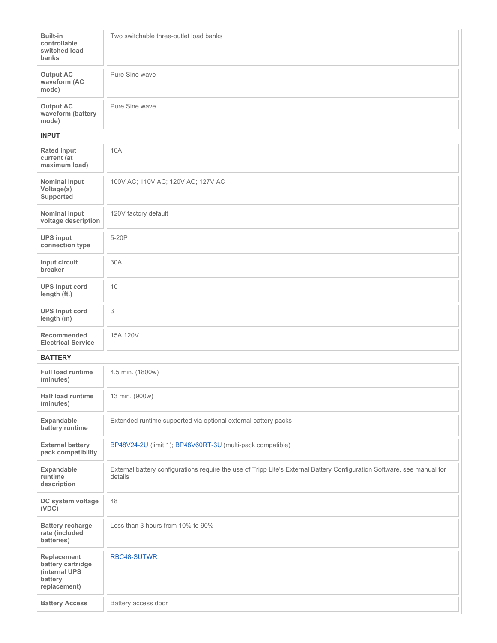| <b>Built-in</b><br>controllable<br>switched load<br>banks                    | Two switchable three-outlet load banks                                                                                             |
|------------------------------------------------------------------------------|------------------------------------------------------------------------------------------------------------------------------------|
| <b>Output AC</b><br>waveform (AC<br>mode)                                    | Pure Sine wave                                                                                                                     |
| <b>Output AC</b><br>waveform (battery<br>mode)                               | Pure Sine wave                                                                                                                     |
| <b>INPUT</b>                                                                 |                                                                                                                                    |
| <b>Rated input</b><br>current (at<br>maximum load)                           | <b>16A</b>                                                                                                                         |
| <b>Nominal Input</b><br>Voltage(s)<br>Supported                              | 100V AC; 110V AC; 120V AC; 127V AC                                                                                                 |
| Nominal input<br>voltage description                                         | 120V factory default                                                                                                               |
| <b>UPS input</b><br>connection type                                          | 5-20P                                                                                                                              |
| Input circuit<br>breaker                                                     | 30A                                                                                                                                |
| <b>UPS Input cord</b><br>length (ft.)                                        | 10                                                                                                                                 |
| <b>UPS Input cord</b><br>length (m)                                          | 3                                                                                                                                  |
| <b>Recommended</b><br><b>Electrical Service</b>                              | 15A 120V                                                                                                                           |
| <b>BATTERY</b>                                                               |                                                                                                                                    |
| <b>Full load runtime</b><br>(minutes)                                        | 4.5 min. (1800w)                                                                                                                   |
| Half load runtime<br>(minutes)                                               | 13 min. (900w)                                                                                                                     |
| Expandable<br>battery runtime                                                | Extended runtime supported via optional external battery packs                                                                     |
| <b>External battery</b><br>pack compatibility                                | BP48V24-2U (limit 1); BP48V60RT-3U (multi-pack compatible)                                                                         |
| Expandable<br>runtime<br>description                                         | External battery configurations require the use of Tripp Lite's External Battery Configuration Software, see manual for<br>details |
| DC system voltage<br>(VDC)                                                   | 48                                                                                                                                 |
| <b>Battery recharge</b><br>rate (included<br>batteries)                      | Less than 3 hours from 10% to 90%                                                                                                  |
| Replacement<br>battery cartridge<br>(internal UPS<br>battery<br>replacement) | RBC48-SUTWR                                                                                                                        |
| <b>Battery Access</b>                                                        | Battery access door                                                                                                                |
|                                                                              |                                                                                                                                    |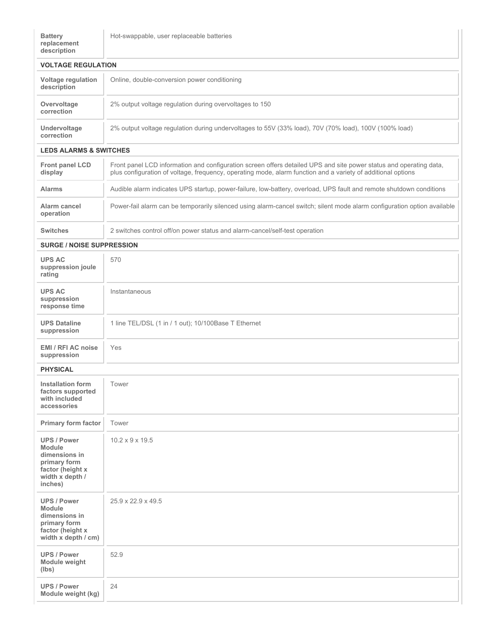| <b>VOLTAGE REGULATION</b>                |                                                                                                       |
|------------------------------------------|-------------------------------------------------------------------------------------------------------|
| <b>Voltage regulation</b><br>description | Online, double-conversion power conditioning                                                          |
| Overvoltage<br>correction                | 2% output voltage regulation during overvoltages to 150                                               |
| Undervoltage<br>correction               | 2% output voltage regulation during undervoltages to 55V (33% load), 70V (70% load), 100V (100% load) |
| <b>LEDS ALARMS &amp; SWITCHES</b>        |                                                                                                       |
|                                          |                                                                                                       |

| <b>Front panel LCD</b><br>display | Front panel LCD information and configuration screen offers detailed UPS and site power status and operating data,<br>plus configuration of voltage, frequency, operating mode, alarm function and a variety of additional options |
|-----------------------------------|------------------------------------------------------------------------------------------------------------------------------------------------------------------------------------------------------------------------------------|
| <b>Alarms</b>                     | Audible alarm indicates UPS startup, power-failure, low-battery, overload, UPS fault and remote shutdown conditions                                                                                                                |
| Alarm cancel<br>operation         | Power-fail alarm can be temporarily silenced using alarm-cancel switch; silent mode alarm configuration option available                                                                                                           |
| <b>Switches</b>                   | 2 switches control off/on power status and alarm-cancel/self-test operation                                                                                                                                                        |

**SURGE / NOISE SUPPRESSION**

| <b>UPS AC</b><br>suppression joule<br>rating                                                                           | 570                                                  |
|------------------------------------------------------------------------------------------------------------------------|------------------------------------------------------|
| <b>UPS AC</b><br>suppression<br>response time                                                                          | Instantaneous                                        |
| <b>UPS Dataline</b><br>suppression                                                                                     | 1 line TEL/DSL (1 in / 1 out); 10/100Base T Ethernet |
| EMI / RFI AC noise<br>suppression                                                                                      | Yes                                                  |
| <b>PHYSICAL</b>                                                                                                        |                                                      |
| <b>Installation form</b><br>factors supported<br>with included<br>accessories                                          | Tower                                                |
| Primary form factor                                                                                                    | Tower                                                |
| <b>UPS / Power</b><br><b>Module</b><br>dimensions in<br>primary form<br>factor (height x<br>width x depth /<br>inches) | $10.2 \times 9 \times 19.5$                          |
| <b>UPS / Power</b><br><b>Module</b><br>dimensions in<br>primary form<br>factor (height x<br>width x depth / cm)        | 25.9 x 22.9 x 49.5                                   |
| <b>UPS / Power</b><br>Module weight<br>(lbs)                                                                           | 52.9                                                 |
| <b>UPS / Power</b><br>Module weight (kg)                                                                               | 24                                                   |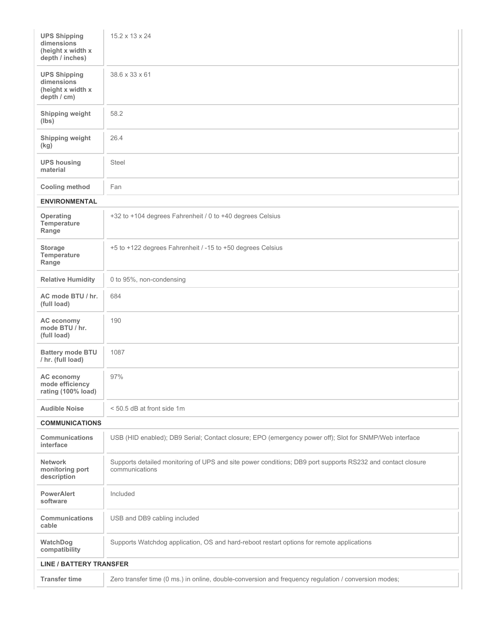| <b>UPS Shipping</b><br>dimensions<br>(height x width x<br>depth / inches) | $15.2 \times 13 \times 24$                                                                                                   |
|---------------------------------------------------------------------------|------------------------------------------------------------------------------------------------------------------------------|
| <b>UPS Shipping</b><br>dimensions<br>(height x width x<br>depth / cm)     | 38.6 x 33 x 61                                                                                                               |
| Shipping weight<br>(lbs)                                                  | 58.2                                                                                                                         |
| Shipping weight<br>(kg)                                                   | 26.4                                                                                                                         |
| <b>UPS housing</b><br>material                                            | <b>Steel</b>                                                                                                                 |
| <b>Cooling method</b>                                                     | Fan                                                                                                                          |
| <b>ENVIRONMENTAL</b>                                                      |                                                                                                                              |
| Operating<br>Temperature<br>Range                                         | +32 to +104 degrees Fahrenheit / 0 to +40 degrees Celsius                                                                    |
| <b>Storage</b><br>Temperature<br>Range                                    | +5 to +122 degrees Fahrenheit / -15 to +50 degrees Celsius                                                                   |
| <b>Relative Humidity</b>                                                  | 0 to 95%, non-condensing                                                                                                     |
| AC mode BTU / hr.<br>(full load)                                          | 684                                                                                                                          |
| AC economy<br>mode BTU / hr.<br>(full load)                               | 190                                                                                                                          |
| <b>Battery mode BTU</b><br>/ hr. (full load)                              | 1087                                                                                                                         |
| AC economy<br>mode efficiency<br>rating (100% load)                       | 97%                                                                                                                          |
| <b>Audible Noise</b>                                                      | < 50.5 dB at front side 1m                                                                                                   |
| <b>COMMUNICATIONS</b>                                                     |                                                                                                                              |
| <b>Communications</b><br>interface                                        | USB (HID enabled); DB9 Serial; Contact closure; EPO (emergency power off); Slot for SNMP/Web interface                       |
| <b>Network</b><br>monitoring port<br>description                          | Supports detailed monitoring of UPS and site power conditions; DB9 port supports RS232 and contact closure<br>communications |
| <b>PowerAlert</b><br>software                                             | Included                                                                                                                     |
| <b>Communications</b><br>cable                                            | USB and DB9 cabling included                                                                                                 |
| WatchDog<br>compatibility                                                 | Supports Watchdog application, OS and hard-reboot restart options for remote applications                                    |
| <b>LINE / BATTERY TRANSFER</b>                                            |                                                                                                                              |
| <b>Transfer time</b>                                                      | Zero transfer time (0 ms.) in online, double-conversion and frequency regulation / conversion modes;                         |
|                                                                           |                                                                                                                              |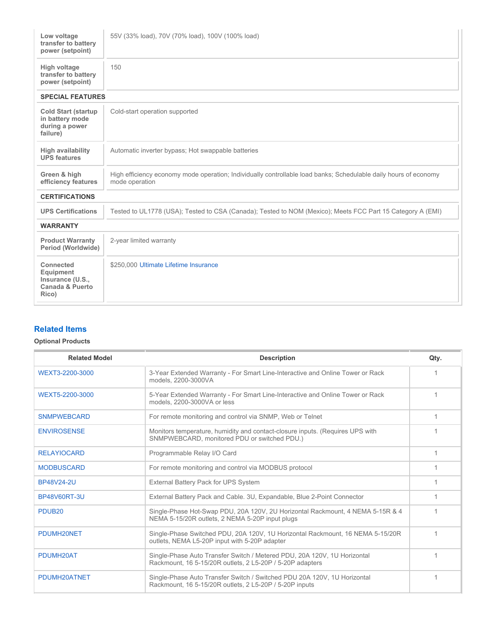| Low voltage<br>transfer to battery<br>power (setpoint)                            | 55V (33% load), 70V (70% load), 100V (100% load)                                                                                   |  |
|-----------------------------------------------------------------------------------|------------------------------------------------------------------------------------------------------------------------------------|--|
| High voltage<br>transfer to battery<br>power (setpoint)                           | 150                                                                                                                                |  |
| <b>SPECIAL FEATURES</b>                                                           |                                                                                                                                    |  |
| <b>Cold Start (startup</b><br>in battery mode<br>during a power<br>failure)       | Cold-start operation supported                                                                                                     |  |
| <b>High availability</b><br><b>UPS features</b>                                   | Automatic inverter bypass; Hot swappable batteries                                                                                 |  |
| Green & high<br>efficiency features                                               | High efficiency economy mode operation; Individually controllable load banks; Schedulable daily hours of economy<br>mode operation |  |
| <b>CERTIFICATIONS</b>                                                             |                                                                                                                                    |  |
| <b>UPS Certifications</b>                                                         | Tested to UL1778 (USA); Tested to CSA (Canada); Tested to NOM (Mexico); Meets FCC Part 15 Category A (EMI)                         |  |
| <b>WARRANTY</b>                                                                   |                                                                                                                                    |  |
| <b>Product Warranty</b><br>Period (Worldwide)                                     | 2-year limited warranty                                                                                                            |  |
| Connected<br>Equipment<br>Insurance (U.S.,<br><b>Canada &amp; Puerto</b><br>Rico) | \$250,000 Ultimate Lifetime Insurance                                                                                              |  |

# **Related Items**

## **Optional Products**

| <b>Related Model</b> | <b>Description</b>                                                                                                                    | Qty. |
|----------------------|---------------------------------------------------------------------------------------------------------------------------------------|------|
| WEXT3-2200-3000      | 3-Year Extended Warranty - For Smart Line-Interactive and Online Tower or Rack<br>models. 2200-3000VA                                 |      |
| WEXT5-2200-3000      | 5-Year Extended Warranty - For Smart Line-Interactive and Online Tower or Rack<br>models, 2200-3000VA or less                         |      |
| <b>SNMPWEBCARD</b>   | For remote monitoring and control via SNMP, Web or Telnet                                                                             | 1    |
| <b>ENVIROSENSE</b>   | Monitors temperature, humidity and contact-closure inputs. (Requires UPS with<br>SNMPWEBCARD, monitored PDU or switched PDU.)         |      |
| <b>RELAYIOCARD</b>   | Programmable Relay I/O Card                                                                                                           |      |
| <b>MODBUSCARD</b>    | For remote monitoring and control via MODBUS protocol                                                                                 |      |
| BP48V24-2U           | External Battery Pack for UPS System                                                                                                  |      |
| <b>BP48V60RT-3U</b>  | External Battery Pack and Cable. 3U, Expandable, Blue 2-Point Connector                                                               |      |
| PDUB <sub>20</sub>   | Single-Phase Hot-Swap PDU, 20A 120V, 2U Horizontal Rackmount, 4 NEMA 5-15R & 4<br>NEMA 5-15/20R outlets, 2 NEMA 5-20P input plugs     |      |
| PDUMH20NET           | Single-Phase Switched PDU, 20A 120V, 1U Horizontal Rackmount, 16 NEMA 5-15/20R<br>outlets, NEMA L5-20P input with 5-20P adapter       |      |
| PDUMH20AT            | Single-Phase Auto Transfer Switch / Metered PDU, 20A 120V, 1U Horizontal<br>Rackmount, 16 5-15/20R outlets, 2 L5-20P / 5-20P adapters |      |
| PDUMH20ATNET         | Single-Phase Auto Transfer Switch / Switched PDU 20A 120V, 1U Horizontal<br>Rackmount, 16 5-15/20R outlets, 2 L5-20P / 5-20P inputs   |      |